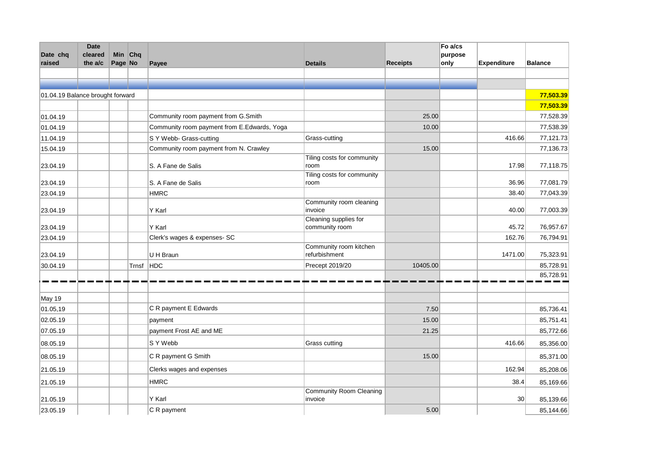| Date chq<br>raised               | <b>Date</b><br>cleared<br>the a/c | Page No | Min Chq |                                             |                                         |                 | Fo a/cs<br>purpose |                    | <b>Balance</b> |
|----------------------------------|-----------------------------------|---------|---------|---------------------------------------------|-----------------------------------------|-----------------|--------------------|--------------------|----------------|
|                                  |                                   |         |         | Payee                                       | <b>Details</b>                          | <b>Receipts</b> | only               | <b>Expenditure</b> |                |
|                                  |                                   |         |         |                                             |                                         |                 |                    |                    |                |
| 01.04.19 Balance brought forward |                                   |         |         |                                             |                                         |                 |                    |                    | 77,503.39      |
|                                  |                                   |         |         |                                             |                                         |                 |                    |                    | 77,503.39      |
| 01.04.19                         |                                   |         |         | Community room payment from G.Smith         |                                         | 25.00           |                    |                    | 77,528.39      |
| 01.04.19                         |                                   |         |         | Community room payment from E.Edwards, Yoga |                                         | 10.00           |                    |                    | 77,538.39      |
| 11.04.19                         |                                   |         |         | S Y Webb- Grass-cutting                     | Grass-cutting                           |                 |                    | 416.66             | 77,121.73      |
| 15.04.19                         |                                   |         |         | Community room payment from N. Crawley      |                                         | 15.00           |                    |                    | 77,136.73      |
| 23.04.19                         |                                   |         |         | S. A Fane de Salis                          | Tiling costs for community<br>room      |                 |                    | 17.98              | 77,118.75      |
| 23.04.19                         |                                   |         |         | S. A Fane de Salis                          | Tiling costs for community<br>room      |                 |                    | 36.96              | 77,081.79      |
| 23.04.19                         |                                   |         |         | <b>HMRC</b>                                 |                                         |                 |                    | 38.40              | 77,043.39      |
| 23.04.19                         |                                   |         |         | Y Karl                                      | Community room cleaning<br>invoice      |                 |                    | 40.00              | 77,003.39      |
| 23.04.19                         |                                   |         |         | Y Karl                                      | Cleaning supplies for<br>community room |                 |                    | 45.72              | 76,957.67      |
| 23.04.19                         |                                   |         |         | Clerk's wages & expenses- SC                |                                         |                 |                    | 162.76             | 76,794.91      |
| 23.04.19                         |                                   |         |         | U H Braun                                   | Community room kitchen<br>refurbishment |                 |                    | 1471.00            | 75,323.91      |
| 30.04.19                         |                                   |         | Trnsf   | HDC                                         | Precept 2019/20                         | 10405.00        |                    |                    | 85,728.91      |
|                                  |                                   |         |         |                                             |                                         |                 |                    |                    | 85,728.91      |
| May 19                           |                                   |         |         |                                             |                                         |                 |                    |                    |                |
| 01.05,19                         |                                   |         |         | C R payment E Edwards                       |                                         | 7.50            |                    |                    | 85,736.41      |
| 02.05.19                         |                                   |         |         | payment                                     |                                         | 15.00           |                    |                    | 85,751.41      |
| 07.05.19                         |                                   |         |         | payment Frost AE and ME                     |                                         | 21.25           |                    |                    | 85,772.66      |
| 08.05.19                         |                                   |         |         | S Y Webb                                    | Grass cutting                           |                 |                    | 416.66             | 85,356.00      |
| 08.05.19                         |                                   |         |         | C R payment G Smith                         |                                         | 15.00           |                    |                    | 85,371.00      |
| 21.05.19                         |                                   |         |         | Clerks wages and expenses                   |                                         |                 |                    | 162.94             | 85,208.06      |
| 21.05.19                         |                                   |         |         | <b>HMRC</b>                                 |                                         |                 |                    | 38.4               | 85,169.66      |
| 21.05.19                         |                                   |         |         | Y Karl                                      | Community Room Cleaning<br>invoice      |                 |                    | 30 <sup>°</sup>    | 85,139.66      |
| 23.05.19                         |                                   |         |         | C R payment                                 |                                         | 5.00            |                    |                    | 85,144.66      |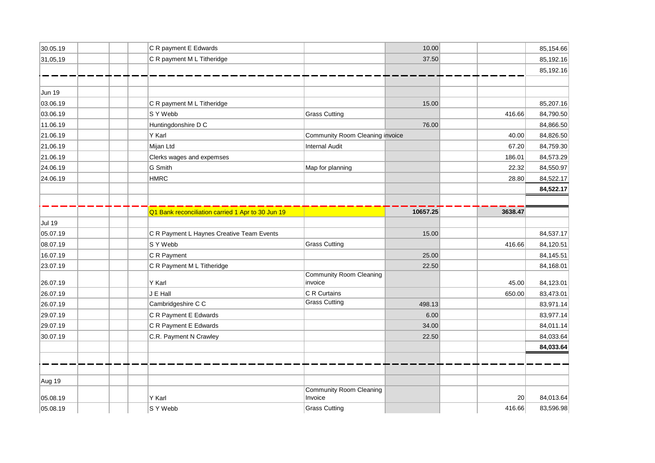| 30.05.19 | C R payment E Edwards                             |                                           | 10.00    |         | 85,154.66 |
|----------|---------------------------------------------------|-------------------------------------------|----------|---------|-----------|
| 31,05,19 | C R payment M L Titheridge                        |                                           | 37.50    |         | 85,192.16 |
|          |                                                   |                                           |          |         | 85,192.16 |
|          |                                                   |                                           |          |         |           |
| Jun 19   |                                                   |                                           |          |         |           |
| 03.06.19 | C R payment M L Titheridge                        |                                           | 15.00    |         | 85,207.16 |
| 03.06.19 | S Y Webb                                          | <b>Grass Cutting</b>                      |          | 416.66  | 84,790.50 |
| 11.06.19 | Huntingdonshire D C                               |                                           | 76.00    |         | 84,866.50 |
| 21.06.19 | Y Karl                                            | Community Room Cleaning invoice           |          | 40.00   | 84,826.50 |
| 21,06.19 | Mijan Ltd                                         | <b>Internal Audit</b>                     |          | 67.20   | 84,759.30 |
| 21.06.19 | Clerks wages and expemses                         |                                           |          | 186.01  | 84,573.29 |
| 24.06.19 | G Smith                                           | Map for planning                          |          | 22.32   | 84,550.97 |
| 24.06.19 | <b>HMRC</b>                                       |                                           |          | 28.80   | 84,522.17 |
|          |                                                   |                                           |          |         | 84,522.17 |
|          |                                                   |                                           |          |         |           |
|          | Q1 Bank reconciliation carried 1 Apr to 30 Jun 19 |                                           | 10657.25 | 3638.47 |           |
| Jul 19   |                                                   |                                           |          |         |           |
| 05.07.19 | C R Payment L Haynes Creative Team Events         |                                           | 15.00    |         | 84,537.17 |
| 08.07.19 | S Y Webb                                          | <b>Grass Cutting</b>                      |          | 416.66  | 84,120.51 |
| 16.07.19 | C R Payment                                       |                                           | 25.00    |         | 84,145.51 |
| 23.07.19 | C R Payment M L Titheridge                        |                                           | 22.50    |         | 84,168.01 |
| 26.07.19 | Y Karl                                            | <b>Community Room Cleaning</b><br>invoice |          |         | 84,123.01 |
|          |                                                   | C R Curtains                              |          | 45.00   |           |
| 26.07.19 | J E Hall                                          | <b>Grass Cutting</b>                      |          | 650.00  | 83,473.01 |
| 26.07.19 | Cambridgeshire C C                                |                                           | 498.13   |         | 83,971.14 |
| 29.07.19 | C R Payment E Edwards                             |                                           | 6.00     |         | 83,977.14 |
| 29.07.19 | C R Payment E Edwards                             |                                           | 34.00    |         | 84,011.14 |
| 30.07.19 | C.R. Payment N Crawley                            |                                           | 22.50    |         | 84,033.64 |
|          |                                                   |                                           |          |         | 84,033.64 |
|          |                                                   |                                           |          |         |           |
| Aug 19   |                                                   |                                           |          |         |           |
| 05.08.19 | Y Karl                                            | <b>Community Room Cleaning</b><br>Invoice |          | 20      | 84,013.64 |
| 05.08.19 | S Y Webb                                          | <b>Grass Cutting</b>                      |          | 416.66  | 83,596.98 |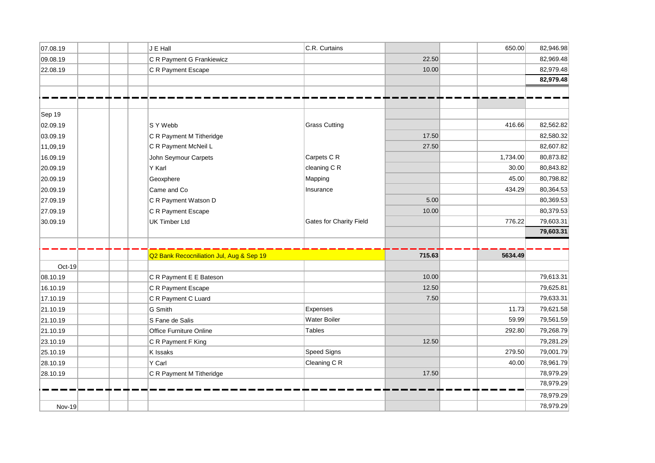|          | J E Hall                                 | C.R. Curtains                  |        |          |           |
|----------|------------------------------------------|--------------------------------|--------|----------|-----------|
| 07.08.19 |                                          |                                |        | 650.00   | 82,946.98 |
| 09.08.19 | C R Payment G Frankiewicz                |                                | 22.50  |          | 82,969.48 |
| 22.08.19 | C R Payment Escape                       |                                | 10.00  |          | 82,979.48 |
|          |                                          |                                |        |          | 82,979.48 |
|          |                                          |                                |        |          |           |
|          |                                          |                                |        |          |           |
| Sep 19   |                                          |                                |        |          |           |
| 02.09.19 | S Y Webb                                 | <b>Grass Cutting</b>           |        | 416.66   | 82,562.82 |
| 03.09.19 | C R Payment M Titheridge                 |                                | 17.50  |          | 82,580.32 |
| 11,09,19 | C R Payment McNeil L                     |                                | 27.50  |          | 82,607.82 |
| 16.09.19 | John Seymour Carpets                     | Carpets C R                    |        | 1,734.00 | 80,873.82 |
| 20.09.19 | Y Karl                                   | cleaning C R                   |        | 30.00    | 80,843.82 |
| 20.09.19 | Geoxphere                                | Mapping                        |        | 45.00    | 80,798.82 |
| 20.09.19 | Came and Co                              | Insurance                      |        | 434.29   | 80,364.53 |
| 27.09.19 | C R Payment Watson D                     |                                | 5.00   |          | 80,369.53 |
| 27.09.19 | C R Payment Escape                       |                                | 10.00  |          | 80,379.53 |
| 30.09.19 | <b>UK Timber Ltd</b>                     | <b>Gates for Charity Field</b> |        | 776.22   | 79,603.31 |
|          |                                          |                                |        |          | 79,603.31 |
|          |                                          |                                |        |          |           |
|          | Q2 Bank Recocniliation Jul, Aug & Sep 19 |                                | 715.63 | 5634.49  |           |
| Oct-19   |                                          |                                |        |          |           |
| 08.10.19 | C R Payment E E Bateson                  |                                | 10.00  |          | 79,613.31 |
| 16.10.19 | C R Payment Escape                       |                                | 12.50  |          | 79,625.81 |
|          | C R Payment C Luard                      |                                | 7.50   |          | 79,633.31 |
| 17.10.19 |                                          | Expenses                       |        | 11.73    | 79,621.58 |
| 21.10.19 | G Smith                                  |                                |        |          |           |
| 21.10.19 | S Fane de Salis                          | <b>Water Boiler</b>            |        | 59.99    | 79,561.59 |
| 21.10.19 | Office Furniture Online                  | <b>Tables</b>                  |        | 292.80   | 79,268.79 |
| 23.10.19 | C R Payment F King                       |                                | 12.50  |          | 79,281.29 |
| 25.10.19 | K Issaks                                 | Speed Signs                    |        | 279.50   | 79,001.79 |
| 28.10.19 | Y Carl                                   | Cleaning C R                   |        | 40.00    | 78,961.79 |
| 28.10.19 | C R Payment M Titheridge                 |                                | 17.50  |          | 78,979.29 |
|          |                                          |                                |        |          | 78,979.29 |
|          |                                          |                                |        |          | 78,979.29 |
| Nov-19   |                                          |                                |        |          | 78,979.29 |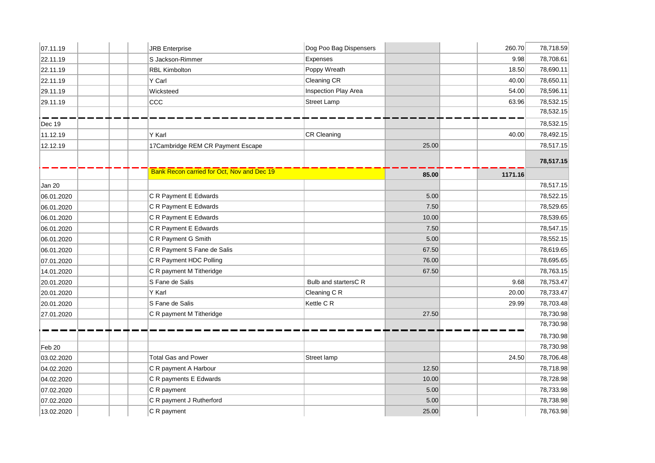| 07.11.19   | <b>JRB</b> Enterprise                             | Dog Poo Bag Dispensers |        | 260.70  | 78,718.59 |
|------------|---------------------------------------------------|------------------------|--------|---------|-----------|
| 22.11.19   | S Jackson-Rimmer                                  | Expenses               |        | 9.98    | 78,708.61 |
| 22.11.19   | <b>RBL Kimbolton</b>                              | Poppy Wreath           |        | 18.50   | 78,690.11 |
| 22.11.19   | Y Carl                                            | Cleaning CR            |        | 40.00   | 78,650.11 |
| 29.11.19   | Wicksteed                                         | Inspection Play Area   |        | 54.00   | 78,596.11 |
| 29.11.19   | CCC                                               | <b>Street Lamp</b>     |        | 63.96   | 78,532.15 |
|            |                                                   |                        |        |         | 78,532.15 |
| Dec 19     |                                                   |                        |        |         | 78,532.15 |
| 11.12.19   | Y Karl                                            | <b>CR Cleaning</b>     |        | 40.00   | 78,492.15 |
| 12.12.19   | 17Cambridge REM CR Payment Escape                 |                        | 25.00  |         | 78,517.15 |
|            |                                                   |                        |        |         | 78,517.15 |
|            | <b>Bank Recon carried for Oct, Nov and Dec 19</b> |                        | 85.00  | 1171.16 |           |
| Jan 20     |                                                   |                        |        |         | 78,517.15 |
| 06.01.2020 | C R Payment E Edwards                             |                        | $5.00$ |         | 78,522.15 |
| 06.01.2020 | C R Payment E Edwards                             |                        | 7.50   |         | 78,529.65 |
| 06.01.2020 | C R Payment E Edwards                             |                        | 10.00  |         | 78,539.65 |
| 06.01.2020 | C R Payment E Edwards                             |                        | 7.50   |         | 78,547.15 |
| 06.01.2020 | C R Payment G Smith                               |                        | 5.00   |         | 78,552.15 |
| 06.01.2020 | C R Payment S Fane de Salis                       |                        | 67.50  |         | 78,619.65 |
| 07.01.2020 | C R Payment HDC Polling                           |                        | 76.00  |         | 78,695.65 |
| 14.01.2020 | C R payment M Titheridge                          |                        | 67.50  |         | 78,763.15 |
| 20.01.2020 | S Fane de Salis                                   | Bulb and startersC R   |        | 9.68    | 78,753.47 |
| 20.01.2020 | Y Karl                                            | Cleaning C R           |        | 20.00   | 78,733.47 |
| 20.01.2020 | S Fane de Salis                                   | Kettle C R             |        | 29.99   | 78,703.48 |
| 27.01.2020 | C R payment M Titheridge                          |                        | 27.50  |         | 78,730.98 |
|            |                                                   |                        |        |         | 78,730.98 |
|            |                                                   |                        |        |         | 78,730.98 |
| Feb 20     |                                                   |                        |        |         | 78,730.98 |
| 03.02.2020 | <b>Total Gas and Power</b>                        | Street lamp            |        | 24.50   | 78,706.48 |
| 04.02.2020 | C R payment A Harbour                             |                        | 12.50  |         | 78,718.98 |
| 04.02.2020 | C R payments E Edwards                            |                        | 10.00  |         | 78,728.98 |
| 07.02.2020 | C R payment                                       |                        | 5.00   |         | 78,733.98 |
| 07.02.2020 | C R payment J Rutherford                          |                        | $5.00$ |         | 78,738.98 |
| 13.02.2020 | C R payment                                       |                        | 25.00  |         | 78,763.98 |